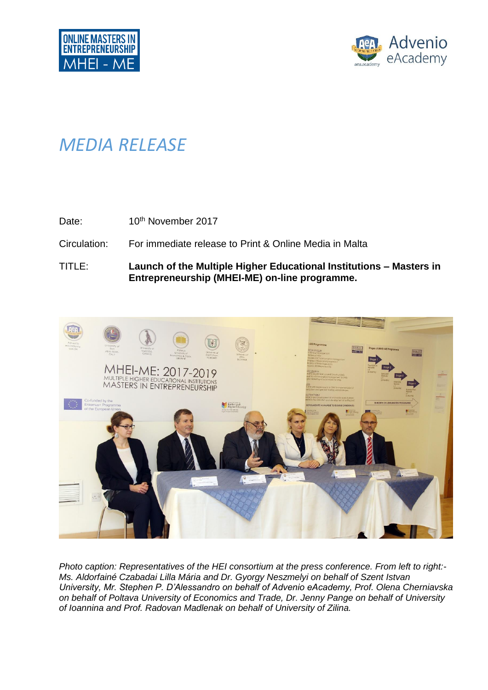

## *MEDIA RELEASE*

Date: 10<sup>th</sup> November 2017

Circulation: For immediate release to Print & Online Media in Malta

TITLE: **Launch of the Multiple Higher Educational Institutions – Masters in Entrepreneurship (MHEI-ME) on-line programme.**



*Photo caption: Representatives of the HEI consortium at the press conference. From left to right:- Ms. Aldorfainé Czabadai Lilla Mária and Dr. Gyorgy Neszmelyi on behalf of Szent Istvan University, Mr. Stephen P. D'Alessandro on behalf of Advenio eAcademy, Prof. Olena Cherniavska on behalf of Poltava University of Economics and Trade, Dr. Jenny Pange on behalf of University of Ioannina and Prof. Radovan Madlenak on behalf of University of Zilina.*